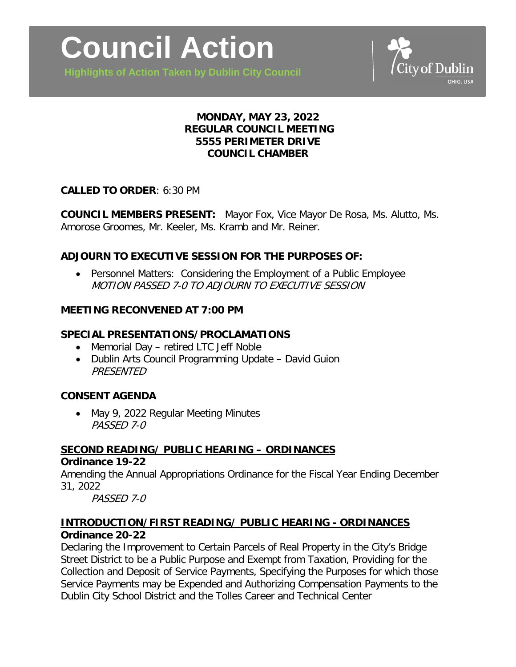

**Highlights of Action Taken by Dublin City Council**



# **MONDAY, MAY 23, 2022 REGULAR COUNCIL MEETING 5555 PERIMETER DRIVE COUNCIL CHAMBER**

### **CALLED TO ORDER**: 6:30 PM

**COUNCIL MEMBERS PRESENT:** Mayor Fox, Vice Mayor De Rosa, Ms. Alutto, Ms. Amorose Groomes, Mr. Keeler, Ms. Kramb and Mr. Reiner.

## **ADJOURN TO EXECUTIVE SESSION FOR THE PURPOSES OF:**

• Personnel Matters: Considering the Employment of a Public Employee MOTION PASSED 7-0 TO ADJOURN TO EXECUTIVE SESSION

### **MEETING RECONVENED AT 7:00 PM**

## **SPECIAL PRESENTATIONS/PROCLAMATIONS**

- Memorial Day retired LTC Jeff Noble
- Dublin Arts Council Programming Update David Guion **PRESENTED**

### **CONSENT AGENDA**

• May 9, 2022 Regular Meeting Minutes PASSED 7-0

# **SECOND READING/ PUBLIC HEARING – ORDINANCES**

#### **Ordinance 19-22**

Amending the Annual Appropriations Ordinance for the Fiscal Year Ending December 31, 2022

PASSED 7-0

### **INTRODUCTION/FIRST READING/ PUBLIC HEARING - ORDINANCES Ordinance 20-22**

Declaring the Improvement to Certain Parcels of Real Property in the City's Bridge Street District to be a Public Purpose and Exempt from Taxation, Providing for the Collection and Deposit of Service Payments, Specifying the Purposes for which those Service Payments may be Expended and Authorizing Compensation Payments to the Dublin City School District and the Tolles Career and Technical Center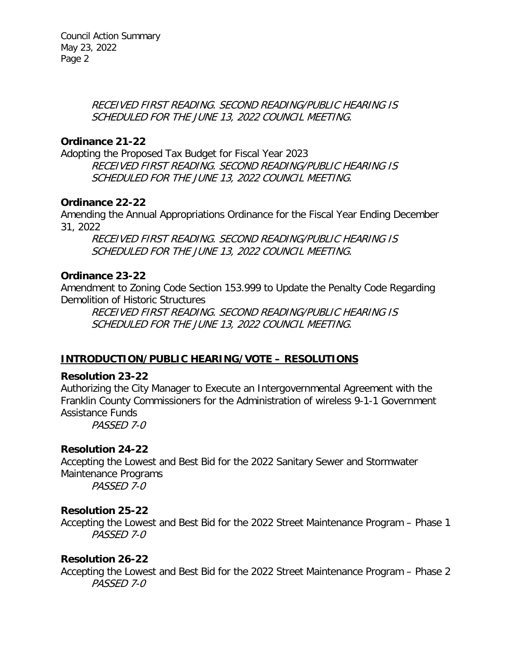RECEIVED FIRST READING. SECOND READING/PUBLIC HEARING IS SCHEDULED FOR THE JUNE 13, 2022 COUNCIL MEETING.

## **Ordinance 21-22**

Adopting the Proposed Tax Budget for Fiscal Year 2023 RECEIVED FIRST READING. SECOND READING/PUBLIC HEARING IS SCHEDULED FOR THE JUNE 13, 2022 COUNCIL MEETING.

## **Ordinance 22-22**

Amending the Annual Appropriations Ordinance for the Fiscal Year Ending December 31, 2022

RECEIVED FIRST READING. SECOND READING/PUBLIC HEARING IS SCHEDULED FOR THE JUNE 13, 2022 COUNCIL MEETING.

# **Ordinance 23-22**

Amendment to Zoning Code Section 153.999 to Update the Penalty Code Regarding Demolition of Historic Structures

RECEIVED FIRST READING. SECOND READING/PUBLIC HEARING IS SCHEDULED FOR THE JUNE 13, 2022 COUNCIL MEETING.

# **INTRODUCTION/PUBLIC HEARING/VOTE – RESOLUTIONS**

### **Resolution 23-22**

Authorizing the City Manager to Execute an Intergovernmental Agreement with the Franklin County Commissioners for the Administration of wireless 9-1-1 Government Assistance Funds

PASSED 7-0

# **Resolution 24-22**

Accepting the Lowest and Best Bid for the 2022 Sanitary Sewer and Stormwater Maintenance Programs PASSED 7-0

### **Resolution 25-22**

Accepting the Lowest and Best Bid for the 2022 Street Maintenance Program – Phase 1 PASSED 7-0

### **Resolution 26-22**

Accepting the Lowest and Best Bid for the 2022 Street Maintenance Program – Phase 2 PASSED 7-0